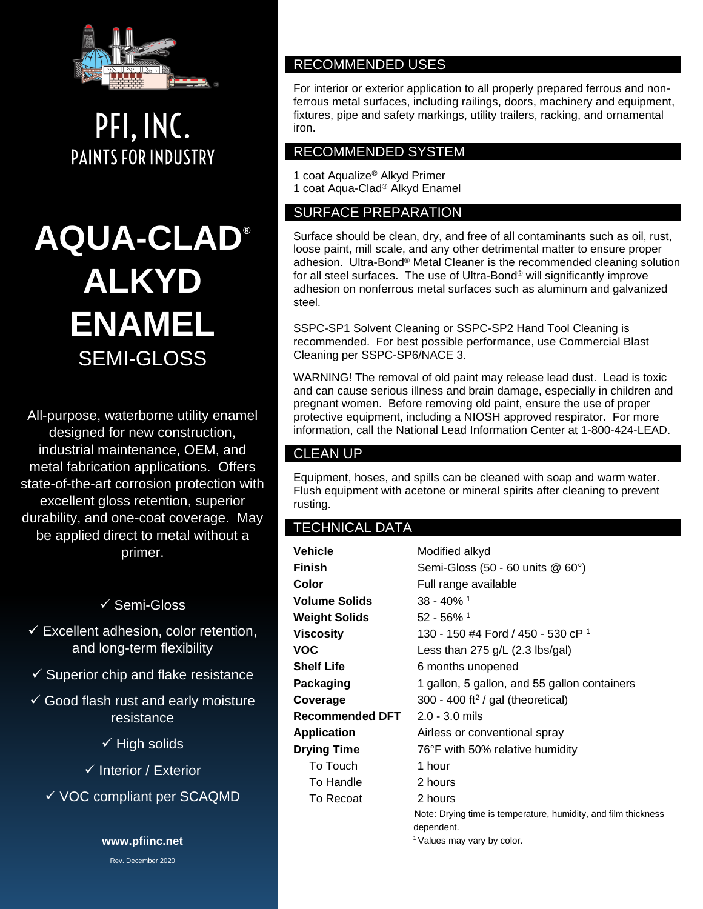

PFI, INC. **PAINTS FOR INDUSTRY** 

# **AQUA-CLAD® ALKYD ENAMEL** SEMI-GLOSS

All-purpose, waterborne utility enamel designed for new construction, industrial maintenance, OEM, and metal fabrication applications. Offers state-of-the-art corrosion protection with excellent gloss retention, superior durability, and one-coat coverage. May be applied direct to metal without a primer.

# ✓ Semi-Gloss

- $\checkmark$  Excellent adhesion, color retention, and long-term flexibility
- $\checkmark$  Superior chip and flake resistance
- $\checkmark$  Good flash rust and early moisture resistance
	- ✓ High solids
	- ✓ Interior / Exterior
	- ✓ VOC compliant per SCAQMD

**www.pfiinc.net**

Rev. December 2020

# RECOMMENDED USES

For interior or exterior application to all properly prepared ferrous and nonferrous metal surfaces, including railings, doors, machinery and equipment, fixtures, pipe and safety markings, utility trailers, racking, and ornamental iron.

## RECOMMENDED SYSTEM

1 coat Aqualize® Alkyd Primer 1 coat Aqua-Clad® Alkyd Enamel

## SURFACE PREPARATION

Surface should be clean, dry, and free of all contaminants such as oil, rust, loose paint, mill scale, and any other detrimental matter to ensure proper adhesion. Ultra-Bond® Metal Cleaner is the recommended cleaning solution for all steel surfaces. The use of Ultra-Bond® will significantly improve adhesion on nonferrous metal surfaces such as aluminum and galvanized steel.

SSPC-SP1 Solvent Cleaning or SSPC-SP2 Hand Tool Cleaning is recommended. For best possible performance, use Commercial Blast Cleaning per SSPC-SP6/NACE 3.

WARNING! The removal of old paint may release lead dust. Lead is toxic and can cause serious illness and brain damage, especially in children and pregnant women. Before removing old paint, ensure the use of proper protective equipment, including a NIOSH approved respirator. For more information, call the National Lead Information Center at 1-800-424-LEAD.

# CLEAN UP

Equipment, hoses, and spills can be cleaned with soap and warm water. Flush equipment with acetone or mineral spirits after cleaning to prevent rusting.

### TECHNICAL DATA

| Vehicle            | Modified alkyd                                                               |  |
|--------------------|------------------------------------------------------------------------------|--|
| Finish             | Semi-Gloss (50 - 60 units @ 60°)                                             |  |
| Color              | Full range available                                                         |  |
| Volume Solids      | $38 - 40\%$ <sup>1</sup>                                                     |  |
| Weight Solids      | $52 - 56\%$ <sup>1</sup>                                                     |  |
| Viscosity          | 130 - 150 #4 Ford / 450 - 530 cP 1                                           |  |
| VOC                | Less than $275$ g/L (2.3 lbs/gal)                                            |  |
| Shelf Life         | 6 months unopened                                                            |  |
| Packaging          | 1 gallon, 5 gallon, and 55 gallon containers                                 |  |
| Coverage           | 300 - 400 ft <sup>2</sup> / gal (theoretical)                                |  |
| Recommended DFT    | $2.0 - 3.0$ mils                                                             |  |
| Application        | Airless or conventional spray                                                |  |
| <b>Drying Time</b> | 76°F with 50% relative humidity                                              |  |
| To Touch           | 1 hour                                                                       |  |
| To Handle          | 2 hours                                                                      |  |
| To Recoat          | 2 hours                                                                      |  |
|                    | Note: Drying time is temperature, humidity, and film thickness<br>dependent. |  |

<sup>1</sup> Values may vary by color.